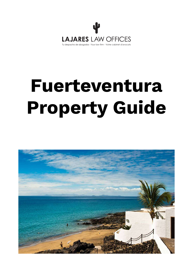

# **Fuerteventura Property Guide**

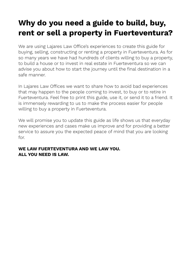# **Why do you need a guide to build, buy, rent or sell a property in Fuerteventura?**

We are using Lajares Law Office's experiences to create this guide for buying, selling, constructing or renting a property in Fuerteventura. As for so many years we have had hundreds of clients willing to buy a property, to build a house or to invest in real estate in Fuerteventura so we can advise you about how to start the journey until the final destination in a safe manner.

In Lajares Law Offices we want to share how to avoid bad experiences that may happen to the people coming to invest, to buy or to retire in Fuerteventura. Feel free to print this guide, use it, or send it to a friend. It is immensely rewarding to us to make the process easier for people willing to buy a property in Fuerteventura.

We will promise you to update this guide as life shows us that everyday new experiences and cases make us improve and for providing a better service to assure you the expected peace of mind that you are looking for.

#### **WE LAW FUERTEVENTURA AND WE LAW YOU. ALL YOU NEED IS LAW.**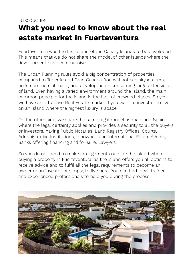## **What you need to know about the real estate market in Fuerteventura**

Fuerteventura was the last island of the Canary Islands to be developed. This means that we do not share the model of other islands where the development has been massive.

The Urban Planning rules avoid a big concentration of properties compared to Tenerife and Gran Canaria. You will not see skyscrapers, huge commercial malls, and developments consuming large extensions of land. Even having a varied environment around the island, the main common principle for the island is the lack of crowded places. So yes, we have an attractive Real Estate market if you want to invest or to live on an island where the highest luxury is space.

On the other side, we share the same legal model as mainland Spain, where the legal certainty applies and provides a security to all the buyers or investors, having Public Notaries, Land Registry Offices, Courts, Administrative Institutions, renowned and international Estate Agents, Banks offering financing and for sure, Lawyers.

So you do not need to make arrangements outside the island when buying a property in Fuerteventura, as the island offers you all options to receive advice and to fulfil all the legal requirements to become an owner or an investor or simply, to live here. You can find local, trained and experienced professionals to help you during the process.

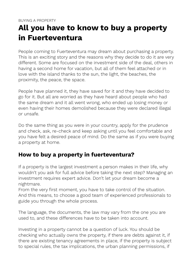# **All you have to know to buy a property in Fuerteventura**

People coming to Fuerteventura may dream about purchasing a property. This is an exciting story and the reasons why they decide to do it are very different. Some are focused on the investment side of the deal, others in having a second home for vacation, but all of them feel attached or in love with the island thanks to the sun, the light, the beaches, the proximity, the peace, the space.

People have planned it, they have saved for it and they have decided to go for it. But all are worried as they have heard about people who had the same dream and it all went wrong, who ended up losing money or even having their homes demolished because they were declared illegal or unsafe.

Do the same thing as you were in your country, apply for the prudence and check, ask, re-check and keep asking until you feel comfortable and you have felt a desired peace of mind. Do the same as if you were buying a property at home.

#### **How to buy a property in fuerteventura?**

If a property is the largest investment a person makes in their life, why wouldn't you ask for full advice before taking the next step? Managing an investment requires expert advice. Don't let your dream become a nightmare.

From the very first moment, you have to take control of the situation. And this means, to choose a good team of experienced professionals to guide you through the whole process.

The language, the documents, the law may vary from the one you are used to, and these differences have to be taken into account.

Investing in a property cannot be a question of luck. You should be checking who actually owns the property, if there are debts against it, if there are existing tenancy agreements in place, if the property is subject to special rules, the tax implications, the urban planning permissions, if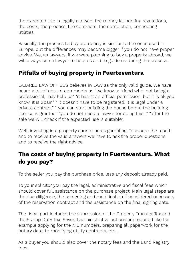the expected use is legally allowed, the money laundering regulations, the costs, the process, the contracts, the completion, connecting utilities.

Basically, the process to buy a property is similar to the ones used in Europe, but the differences may become bigger if you do not have proper advice. We, as lawyers, if we were planning to buy a property abroad, we will always use a lawyer to help us and to guide us during the process.

## **Pitfalls of buying property in Fuerteventura**

LAJARES LAW OFFICES believes in LAW as the only valid guide. We have heard a lot of absurd comments as "we know a friend who, not being a professional, may help us" "it hasn't an official permission, but it is ok you know, it is Spain" " it doesn't have to be registered, it is legal under a private contract" " you can start building the house before the building licence is granted" "you do not need a lawyer for doing this…" "after the sale we will check if the expected use is suitable".

Well, investing in a property cannot be as gambling. To assure the result and to receive the valid answers we have to ask the proper questions and to receive the right advice.

## **The costs of buying property in Fuerteventura. What do you pay?**

To the seller you pay the purchase price, less any deposit already paid.

To your solicitor you pay the legal, administrative and fiscal fees which should cover full assistance on the purchase project. Main legal steps are the due diligence, the screening and modification if considered necessary of the reservation contract and the assistance on the final signing date.

The fiscal part includes the submission of the Property Transfer Tax and the Stamp Duty Tax. Several administrative actions are required like for example applying for the NIE numbers, preparing all paperwork for the notary date, to modifying utility contracts, etc…

As a buyer you should also cover the notary fees and the Land Registry fees.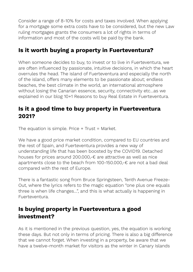Consider a range of 8-10% for costs and taxes involved. When applying for a mortgage some extra costs have to be considered, but the new Law ruling mortgages grants the consumers a lot of rights in terms of information and most of the costs will be paid by the bank.

#### **Is it worth buying a property in Fuerteventura?**

When someone decides to buy, to invest or to live in Fuerteventura, we are often influenced by passionate, intuitive decisions, in which the heart overrules the head. The island of Fuerteventura and especially the north of the island, offers many elements to be passionate about; endless beaches, the best climate in the world, an international atmosphere without losing the Canarian essence, security, connectivity etc…as we explained in our blog 10+1 Reasons to buy Real Estate in Fuerteventura.

#### **Is it a good time to buy property in Fuerteventura 2021?**

The equation is simple. Price  $+$  Trust = Market.

We have a good price market condition, compared to EU countries and the rest of Spain, and Fuerteventura provides a new way of understanding life that has been boosted by the COVID19. Detached houses for prices around 200.000,-€ are attractive as well as nice apartments close to the beach from 100-150.000,-€ are not a bad deal compared with the rest of Europe.

There is a fantastic song from Bruce Springsteen, Tenth Avenue Freeze-Out, where the lyrics refers to the magic equation "one plus one equals three is when life changes…", and this is what actually is happening in Fuerteventura.

## **Is buying property in Fuerteventura a good investment?**

As it is mentioned in the previous question, yes, the equation is working these days. But not only in terms of pricing. There is also a big difference that we cannot forget. When investing in a property, be aware that we have a twelve-month market for visitors as the winter in Canary Islands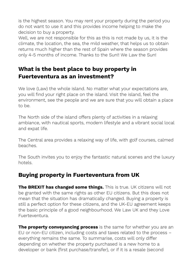is the highest season. You may rent your property during the period you do not want to use it and this provides income helping to make the decision to buy a property.

Well, we are not responsible for this as this is not made by us, it is the climate, the location, the sea, the mild weather, that helps us to obtain returns much higher than the rest of Spain where the season provides only 4-5 months of income. Thanks to the Sun!! We Law the Sun!

### **What is the best place to buy property in Fuerteventura as an investment?**

We love (Law) the whole island. No matter what your expectations are, you will find your right place on the island. Visit the island, feel the environment, see the people and we are sure that you will obtain a place to be.

The North side of the island offers plenty of activities in a relaxing ambiance, with nautical sports, modern lifestyle and a vibrant social local and expat life.

The Central area provides a relaxing way of life, with golf courses, calmed beaches.

The South invites you to enjoy the fantastic natural scenes and the luxury hotels.

#### **Buying property in Fuerteventura from UK**

**The BREXIT has changed some things.** This is true. UK citizens will not be granted with the same rights as other EU citizens. But this does not mean that the situation has dramatically changed. Buying a property is still a perfect option for these citizens, and the UK-EU agreement keeps the basic principle of a good neighbourhood. We Law UK and they Love Fuerteventura.

**The property conveyancing process** is the same for whether you are an EU or non-EU citizen, including costs and taxes related to the process – everything remains the same. To summarise, costs will only differ depending on whether the property purchased is a new home to a developer or bank (first purchase/transfer), or if it is a resale (second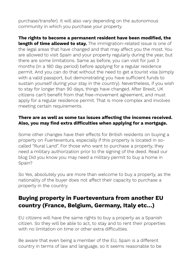purchase/transfer). It will also vary depending on the autonomous community in which you purchase your property.

**The rights to become a permanent resident have been modified, the length of time allowed to stay.** The immigration-related issue is one of the legal areas that have changed and that may affect you the most. You are allowed to visit Spain and your property regularly during the year, but there are some limitations. Same as before, you can visit for just 3 months (in a 180 day period) before applying for a regular residence permit. And you can do that without the need to get a tourist visa (simply with a valid passport, but demonstrating you have sufficient funds to sustain yourself during your stay in the country). Nevertheless, if you wish to stay for longer than 90 days, things have changed. After Brexit, UK citizens can't benefit from that free-movement agreement, and must apply for a regular residence permit. That is more complex and involves meeting certain requirements.

#### **There are as well as some tax issues affecting the incomes received. Also, you may find extra difficulties when applying for a mortgage.**

Some other changes have their effects for British residents on buying a property on Fuerteventura, especially if this property is located in socalled "Rural Land". For those who want to purchase a property, they need a military authorization prior to the signing of the deed. Read our blog Did you know you may need a military permit to buy a home in Spain?

So Yes, absolutely you are more than welcome to buy a property, as the nationality of the buyer does not affect their capacity to purchase a property in the country.

#### **Buying property in Fuerteventura from another EU country (France, Belgium, Germany, Italy etc…)**

EU citizens will have the same rights to buy a property as a Spanish citizen. So they will be able to act, to stay and to rent their properties with no limitation on time or other extra difficulties.

Be aware that even being a member of the EU, Spain is a different country in terms of law and language, so it seems reasonable to be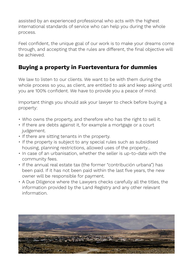assisted by an experienced professional who acts with the highest international standards of service who can help you during the whole process.

Feel confident, the unique goal of our work is to make your dreams come through, and accepting that the rules are different, the final objective will be achieved.

## **Buying a property in Fuerteventura for dummies**

We law to listen to our clients. We want to be with them during the whole process so you, as client, are entitled to ask and keep asking until you are 100% confident. We have to provide you a peace of mind.

Important things you should ask your lawyer to check before buying a property:

- Who owns the property, and therefore who has the right to sell it.
- If there are debts against it, for example a mortgage or a court judgement.
- If there are sitting tenants in the property.
- If the property is subject to any special rules such as subsidised housing, planning restrictions, allowed uses of the property…
- In case of an urbanisation, whether the seller is up-to-date with the community fees.
- If the annual real estate tax (the former "contribución urbana") has been paid. If it has not been paid within the last five years, the new owner will be responsible for payment.
- A Due Diligence where the Lawyers checks carefully all the titles, the information provided by the Land Registry and any other relevant information.

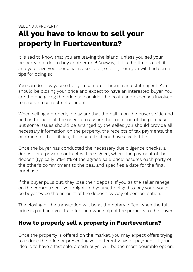## **All you have to know to sell your property in Fuerteventura?**

It is sad to know that you are leaving the island, unless you sell your property in order to buy another one! Anyway, if it is the time to sell it and you have your personal reasons to go for it, here you will find some tips for doing so.

You can do it by yourself or you can do it through an estate agent. You should be closing your price and expect to have an interested buyer. You are the one giving the price so consider the costs and expenses involved to receive a correct net amount.

When selling a property, be aware that the ball is on the buyer's side and he has to make all the checks to assure the good end of the purchase. But some issues should be arranged by the seller, you should provide all necessary information on the property, the receipts of tax payments, the contracts of the utilities,…to assure that you have a valid title.

Once the buyer has conducted the necessary due diligence checks, a deposit or a private contract will be signed, where the payment of the deposit (typically 5%-10% of the agreed sale price) assures each party of the other's commitment to the deal and specifies a date for the final purchase.

If the buyer pulls out, they lose their deposit. If you as the seller renege on the commitment, you might find yourself obliged to pay your wouldbe buyer twice the amount of the deposit by way of compensation.

The closing of the transaction will be at the notary office, when the full price is paid and you transfer the ownership of the property to the buyer.

#### **How to properly sell a property in Fuerteventura?**

Once the property is offered on the market, you may expect offers trying to reduce the price or presenting you different ways of payment. If your idea is to have a fast sale, a cash buyer will be the most desirable option.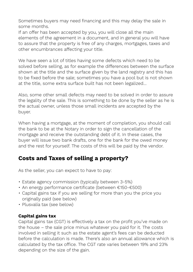Sometimes buyers may need financing and this may delay the sale in some months.

If an offer has been accepted by you, you will close all the main elements of the agreement in a document, and in general you will have to assure that the property is free of any charges, mortgages, taxes and other encumbrances affecting your title.

We have seen a lot of titles having some defects which need to be solved before selling, as for example the differences between the surface shown at the title and the surface given by the land registry and this has to be fixed before the sale; sometimes you have a pool but is not shown at the title, some extra surface built has not been legalized…

Also, some other small defects may need to be solved in order to assure the legality of the sale. This is something to be done by the seller as he is the actual owner, unless those small incidents are accepted by the buyer.

When having a mortgage, at the moment of completion, you should call the bank to be at the Notary in order to sign the cancellation of the mortgage and receive the outstanding debt of it. In these cases, the buyer will issue two bank drafts, one for the bank for the owed money and the rest for yourself. The costs of this will be paid by the vendor.

#### **Costs and Taxes of selling a property?**

As the seller, you can expect to have to pay:

- Estate agency commission (typically between 3-5%)
- An energy performance certificate (between €150-€500)
- Capital gains tax if you are selling for more than you the price you originally paid (see below)
- Plusvalía tax (see below)

#### **Capital gains tax**

Capital gains tax (CGT) is effectively a tax on the profit you've made on the house – the sale price minus whatever you paid for it. The costs involved in selling it such as the estate agent's fees can be deducted before the calculation is made. There's also an annual allowance which is calculated by the tax office. The CGT rate varies between 19% and 23% depending on the size of the gain.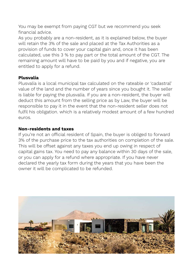You may be exempt from paying CGT but we recommend you seek financial advice.

As you probably are a non-resident, as it is explained below, the buyer will retain the 3% of the sale and placed at the Tax Authorities as a provision of funds to cover your capital gain and, once it has been calculated, use this 3 % to pay part or the total amount of the CGT. The remaining amount will have to be paid by you and if negative, you are entitled to apply for a refund.

#### **Plusvalía**

Plusvalía is a local municipal tax calculated on the rateable or 'cadastral' value of the land and the number of years since you bought it. The seller is liable for paying the plusvalía. If you are a non-resident, the buyer will deduct this amount from the selling price as by Law, the buyer will be responsible to pay it in the event that the non-resident seller does not fulfil his obligation. which is a relatively modest amount of a few hundred euros.

#### **Non-residents and taxes**

If you're not an official resident of Spain, the buyer is obliged to forward 3% of the purchase price to the tax authorities on completion of the sale. This will be offset against any taxes you end up owing in respect of capital gains tax. You need to pay any balance within 30 days of the sale, or you can apply for a refund where appropriate. If you have never declared the yearly tax form during the years that you have been the owner it will be complicated to be refunded.

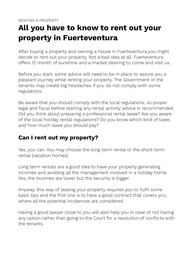# **All you have to know to rent out your property in Fuerteventura**

After buying a property and owning a house in Fuerteventura you might decide to rent out your property. Not a bad idea at all. Fuerteventura offers 12 month of sunshine and a market desiring to come and visit us.

Before you start, some advice will need to be in place to assure you a pleasant journey while renting your property. The Government or the tenants may create big headaches if you do not comply with some regulations.

Be aware that you should comply with the local regulations, so proper legal and fiscal before starting any rental activity advice is recommended. Did you think about preparing a professional rental lease? Are you aware of the local holiday rental regulations? Do you know which kind of taxes and how much taxes you should pay?

#### **Can I rent out my property?**

Yes, you can. You may choose the long-term rental or the short-term rental (vacation homes).

Long term rentals are a good idea to have your property generating incomes and avoiding all the management involved in a holiday home. Yes, the incomes are lower but the security is bigger.

Anyway, this way of leasing your property requires you to fulfil some basic tips and the first one is to have a good contract that covers you, where all the potential incidences are considered.

Having a good lawyer close to you will also help you in case of not having any option rather than going to the Court for a resolution of conflicts with the tenants.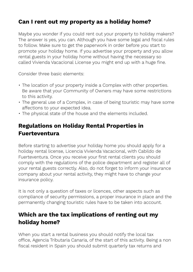## **Can I rent out my property as a holiday home?**

Maybe you wonder if you could rent out your property to holiday makers? The answer is yes, you can. Although you have some legal and fiscal rules to follow. Make sure to get the paperwork in order before you start to promote your holiday home. If you advertise your property and you allow rental guests in your holiday home without having the necessary so called Vivienda Vacacional License you might end up with a huge fine.

Consider three basic elements:

- The location of your property inside a Complex with other properties. Be aware that your Community of Owners may have some restrictions to this activity.
- The general use of a Complex, in case of being touristic may have some affections to your expected idea.
- The physical state of the house and the elements included.

## **Regulations on Holiday Rental Properties in Fuerteventura**

Before starting to advertise your holiday home you should apply for a holiday rental license, Licencia Vivienda Vacacional, with Cabildo de Fuerteventura. Once you receive your first rental clients you should comply with the regulations of the police department and register all of your rental guests correctly. Also, do not forget to inform your insurance company about your rental activity, they might have to change your insurance policy.

It is not only a question of taxes or licences, other aspects such as compliance of security permissions, a proper insurance in place and the permanently changing touristic rules have to be taken into account.

## **Which are the tax implications of renting out my holiday home?**

When you start a rental business you should notify the local tax office, Agencia Tributaria Canaria, of the start of this activity. Being a non fiscal resident in Spain you should submit quarterly tax returns and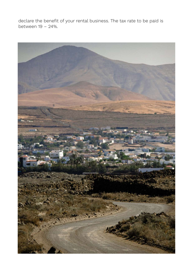declare the benefit of your rental business. The tax rate to be paid is between 19 – 24%.

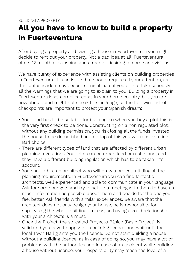# **All you have to know to build a property in Fuerteventura**

After buying a property and owning a house in Fuerteventura you might decide to rent out your property. Not a bad idea at all. Fuerteventura offers 12 month of sunshine and a market desiring to come and visit us.

We have plenty of experience with assisting clients on building properties in Fuerteventura. It is an issue that should require all your attention, as this fantastic idea may become a nightmare if you do not take seriously all the warnings that we are going to explain to you. Building a property in Fuerteventura is as complicated as in your home country, but you are now abroad and might not speak the language, so the following list of checkpoints are important to protect your Spanish dream:

- Your land has to be suitable for building, so when you buy a plot this is the very first check to be done. Constructing on a non regulated plot, without any building permission, you risk losing all the funds invested, the house to be demolished and on top of this you will receive a fine. Bad choice.
- There are different types of land that are affected by different urban planning regulations. Your plot can be urban land or rustic land, and they have a different building regulation which has to be taken into account.
- You should hire an architect who will draw a project fulfilling all the planning requirements. In Fuerteventura you can find fantastic architects, well experienced and able to communicate in your language. Ask for some budgets and try to set up a meeting with them to have as much information as possible about them and decide for the one you feel better. Ask friends with similar experiences. Be aware that the architect does not only design your house, he is responsible for supervising the whole building process, so having a good relationship with your architects is a must.
- Once the Project, the so-called Proyecto Básico (Basic Project), is validated you have to apply for a building licence and wait until the local Town Hall grants you the licence. Do not start building a house without a building licence, as in case of doing so, you may have a lot of problems with the authorities and in case of an accident while building a house without licence, your responsibility may reach the level of a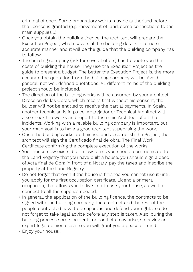criminal offence. Some preparatory works may be authorised before the licence is granted (e.g. movement of land, some connections to the main supplies…)

- Once you obtain the building licence, the architect will prepare the Execution Project, which covers all the building details in a more accurate manner and it will be the guide that the building company has to follow.
- The building company (ask for several offers) has to quote you the costs of building the house. They use the Execution Project as the guide to present a budget. The better the Execution Project is, the more accurate the quotation from the building company will be. Avoid general, not well defined quotations. All different items of the building project should be included.
- The direction of the building works will be assumed by your architect, Dirección de las Obras, which means that without his consent, the builder will not be entitled to receive the partial payments. In Spain, another technician is in place, Aparejador or Technical Architect will also check the works and report to the main Architect of all the incidents. Working with a reliable building company is important, but your main goal is to have a good architect supervising the work.
- Once the building works are finished and accomplish the Project, the architect will sign the Certificado final de obra, The Final Work Certificate confirming the complete execution of the works.
- Your house now exists, but in law terms you should communicate to the Land Registry that you have built a house, you should sign a deed of Acta final de Obra in front of a Notary, pay the taxes and inscribe the property at the Land Registry.
- Do not forget that even if the house is finished you cannot use it until you apply for the first occupation certificate, Licencia primera ocupación, that allows you to live and to use your house, as well to connect to all the supplies needed.
- In general, the application of the building licence, the contracts to be signed with the building company, the architect and the rest of the people contracted have to be rigorous and defend your rights, so do not forget to take legal advice before any step is taken. Also, during the building process some incidents or conflicts may arise, so having an expert legal opinion close to you will grant you a peace of mind.
- Enjoy your house!!!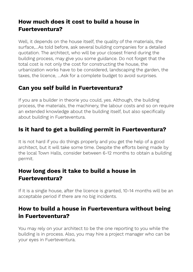## **How much does it cost to build a house in Fuerteventura?**

Well, it depends on the house itself, the quality of the materials, the surface,…As told before, ask several building companies for a detailed quotation. The architect, who will be your closest friend during the building process, may give you some guidance. Do not forget that the total cost is not only the cost for constructing the house, the urbanization works have to be considered, landscaping the garden, the taxes, the licence, …Ask for a complete budget to avoid surprises.

#### **Can you self build in Fuerteventura?**

If you are a builder in theorie you could, yes. Although, the building process, the materials, the machinery, the labour costs and so on require an extended knowledge about the building itself, but also specifically about building in Fuerteventura.

## **Is it hard to get a building permit in Fuerteventura?**

It is not hard if you do things properly and you get the help of a good architect, but it will take some time. Despite the efforts being made by the local Town Halls, consider between 6-12 months to obtain a building permit.

#### **How long does it take to build a house in Fuerteventura?**

If it is a single house, after the licence is granted, 10-14 months will be an acceptable period if there are no big incidents.

#### **How to build a house in Fuerteventura without being in Fuerteventura?**

You may rely on your architect to be the one reporting to you while the building is in process. Also, you may hire a project manager who can be your eyes in Fuerteventura.